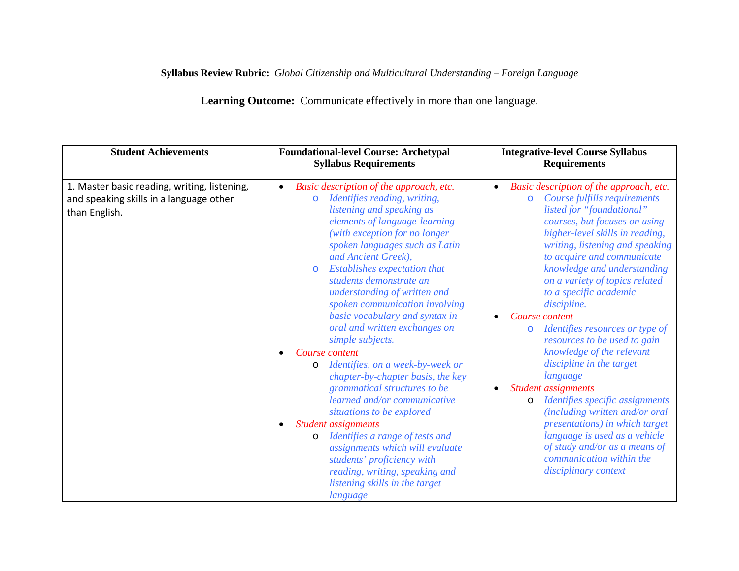## **Syllabus Review Rubric:** *Global Citizenship and Multicultural Understanding – Foreign Language*

**Learning Outcome:** Communicate effectively in more than one language.

| <b>Student Achievements</b>                                                                              | <b>Foundational-level Course: Archetypal</b><br><b>Syllabus Requirements</b>                                                                                                                                                                                                                                                                                                                                                                                                                                                                                                                                                                                                                                                                                                                                                                                                                                           | <b>Integrative-level Course Syllabus</b><br><b>Requirements</b>                                                                                                                                                                                                                                                                                                                                                                                                                                                                                                                                                                                                                                                                                                                                           |
|----------------------------------------------------------------------------------------------------------|------------------------------------------------------------------------------------------------------------------------------------------------------------------------------------------------------------------------------------------------------------------------------------------------------------------------------------------------------------------------------------------------------------------------------------------------------------------------------------------------------------------------------------------------------------------------------------------------------------------------------------------------------------------------------------------------------------------------------------------------------------------------------------------------------------------------------------------------------------------------------------------------------------------------|-----------------------------------------------------------------------------------------------------------------------------------------------------------------------------------------------------------------------------------------------------------------------------------------------------------------------------------------------------------------------------------------------------------------------------------------------------------------------------------------------------------------------------------------------------------------------------------------------------------------------------------------------------------------------------------------------------------------------------------------------------------------------------------------------------------|
| 1. Master basic reading, writing, listening,<br>and speaking skills in a language other<br>than English. | Basic description of the approach, etc.<br>$\bullet$<br>Identifies reading, writing,<br>$\circ$<br>listening and speaking as<br>elements of language-learning<br>(with exception for no longer<br>spoken languages such as Latin<br>and Ancient Greek),<br>Establishes expectation that<br>$\circ$<br>students demonstrate an<br>understanding of written and<br>spoken communication involving<br>basic vocabulary and syntax in<br>oral and written exchanges on<br>simple subjects.<br>Course content<br>Identifies, on a week-by-week or<br>$\circ$<br>chapter-by-chapter basis, the key<br>grammatical structures to be<br>learned and/or communicative<br>situations to be explored<br><b>Student assignments</b><br>Identifies a range of tests and<br>$\circ$<br>assignments which will evaluate<br>students' proficiency with<br>reading, writing, speaking and<br>listening skills in the target<br>language | Basic description of the approach, etc.<br>Course fulfills requirements<br>$\circ$<br>listed for "foundational"<br>courses, but focuses on using<br>higher-level skills in reading,<br>writing, listening and speaking<br>to acquire and communicate<br>knowledge and understanding<br>on a variety of topics related<br>to a specific academic<br>discipline.<br>Course content<br>Identifies resources or type of<br>$\circ$<br>resources to be used to gain<br>knowledge of the relevant<br>discipline in the target<br>language<br><b>Student assignments</b><br>Identifies specific assignments<br>$\circ$<br>(including written and/or oral<br>presentations) in which target<br>language is used as a vehicle<br>of study and/or as a means of<br>communication within the<br>disciplinary context |